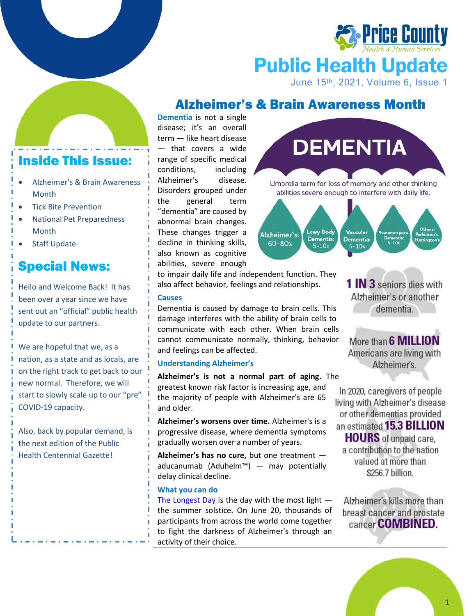

# Public Health Update

June 15<sup>th</sup>, 2021, Volume 6, Issue 1

### Alzheimer's & Brain Awareness Month

### Inside This Issue:

- Alzheimer's & Brain Awareness Month
- Tick Bite Prevention
- National Pet Preparedness Month
- **Staff Update**

# Special News:

Hello and Welcome Back! It has been over a year since we have sent out an "official" public health update to our partners.

We are hopeful that we, as a nation, as a state and as locals, are on the right track to get back to our new normal. Therefore, we will start to slowly scale up to our "pre" COVID-19 capacity.

Also, back by popular demand, is the next edition of the Public Health Centennial Gazette!

**Dementia** is not a single disease; it's an overall term — like heart disease — that covers a wide range of specific medical conditions, including Alzheimer's disease. Disorders grouped under the general term "dementia" are caused by abnormal brain changes. These changes trigger a decline in thinking skills, also known as cognitive abilities, severe enough

to impair daily life and independent function. They also affect behavior, feelings and relationships.

#### **Causes**

Dementia is caused by damage to brain cells. This damage interferes with the ability of brain cells to communicate with each other. When brain cells cannot communicate normally, thinking, behavior and feelings can be affected.

#### **Understanding Alzheimer's**

**Alzheimer's is not a normal part of aging.** The greatest known risk factor is increasing age, and the majority of people with Alzheimer's are 65 and older.

**Alzheimer's worsens over time.** Alzheimer's is a progressive disease, where dementia symptoms gradually worsen over a number of years.

**Alzheimer's has no cure,** but one treatment aducanumab (Aduhelm™) — may potentially delay clinical decline.

#### **What you can do**

[The Longest Day](https://act.alz.org/site/TR?fr_id=14244&pg=informational&sid=24695) is the day with the most light  $$ the summer solstice. On June 20, thousands of participants from across the world come together to fight the darkness of Alzheimer's through an activity of their choice.





**1 IN 3** seniors dies with Alzheimer's or another dementia.

More than 6 **MILLION** Americans are living with Alzheimer's.

In 2020, caregivers of people living with Alzheimer's disease or other dementias provided an estimated 15.3 **BILLION HOURS** of unpaid care, a contribution to the nation valued at more than \$256.7 billion.

Alzheimer's kills more than breast cancer and prostate cancer **COMBINED.**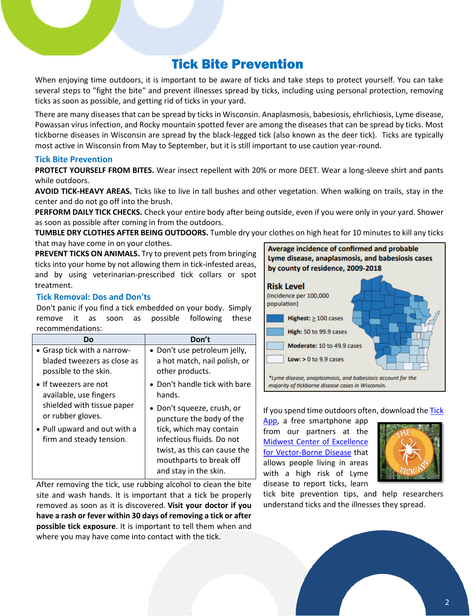### Tick Bite Prevention

When enjoying time outdoors, it is important to be aware of ticks and take steps to protect yourself. You can take several steps to "fight the bite" and prevent illnesses spread by ticks, including using personal protection, removing ticks as soon as possible, and getting rid of ticks in your yard.

There are many diseases that can be spread by ticks in Wisconsin. Anaplasmosis, babesiosis, ehrlichiosis, Lyme disease, Powassan virus infection, and Rocky mountain spotted fever are among the diseases that can be spread by ticks. Most tickborne diseases in Wisconsin are spread by the black-legged tick (also known as the deer tick). Ticks are typically most active in Wisconsin from May to September, but it is still important to use caution year-round.

#### **Tick Bite Prevention**

**PROTECT YOURSELF FROM BITES.** Wear insect repellent with 20% or more DEET. Wear a long-sleeve shirt and pants while outdoors.

**AVOID TICK-HEAVY AREAS.** Ticks like to live in tall bushes and other vegetation. When walking on trails, stay in the center and do not go off into the brush.

**PERFORM DAILY TICK CHECKS.** Check your entire body after being outside, even if you were only in your yard. Shower as soon as possible after coming in from the outdoors.

**TUMBLE DRY CLOTHES AFTER BEING OUTDOORS.** Tumble dry your clothes on high heat for 10 minutes to kill any ticks that may have come in on your clothes.

**PREVENT TICKS ON ANIMALS.** Try to prevent pets from bringing ticks into your home by not allowing them in tick-infested areas, and by using veterinarian-prescribed tick collars or spot treatment.

#### **Tick Removal: Dos and Don'ts**

Don't panic if you find a tick embedded on your body. Simply remove it as soon as possible following these recommendations:

| Do                                                       | Don't                                                                                                                                    |
|----------------------------------------------------------|------------------------------------------------------------------------------------------------------------------------------------------|
| • Grasp tick with a narrow-                              | · Don't use petroleum jelly,                                                                                                             |
| bladed tweezers as close as                              | a hot match, nail polish, or                                                                                                             |
| possible to the skin.                                    | other products.                                                                                                                          |
| • If tweezers are not                                    | • Don't handle tick with bare                                                                                                            |
| available, use fingers                                   | hands.                                                                                                                                   |
| shielded with tissue paper                               | • Don't squeeze, crush, or                                                                                                               |
| or rubber gloves.                                        | puncture the body of the                                                                                                                 |
| • Pull upward and out with a<br>firm and steady tension. | tick, which may contain<br>infectious fluids. Do not<br>twist, as this can cause the<br>mouthparts to break off<br>and stay in the skin. |
|                                                          |                                                                                                                                          |

After removing the tick, use rubbing alcohol to clean the bite site and wash hands. It is important that a tick be properly removed as soon as it is discovered. **Visit your doctor if you have a rash or fever within 30 days of removing a tick or after possible tick exposure**. It is important to tell them when and where you may have come into contact with the tick.



If you spend time outdoors often, download the Tick

[App,](https://thetickapp.org/prueba/about-the-app/) a free smartphone app from our partners at the [Midwest Center of Excellence](http://mcevbd.wisc.edu/ticks)  [for Vector-Borne Disease](http://mcevbd.wisc.edu/ticks) that allows people living in areas with a high risk of Lyme disease to report ticks, learn



tick bite prevention tips, and help researchers understand ticks and the illnesses they spread.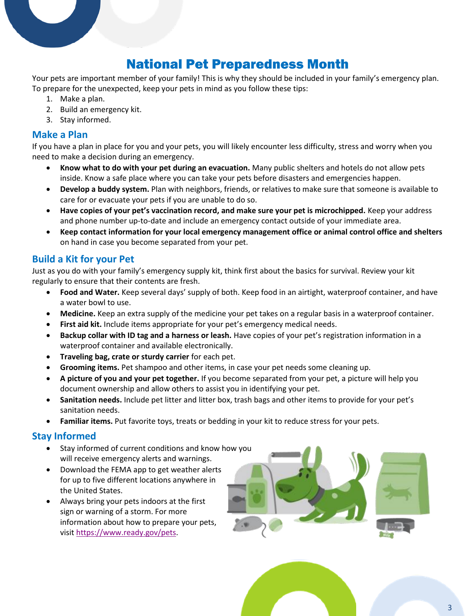## National Pet Preparedness Month

Your pets are important member of your family! This is why they should be included in your family's emergency plan. To prepare for the unexpected, keep your pets in mind as you follow these tips:

- 1. Make a plan.
- 2. Build an emergency kit.
- 3. Stay informed.

#### **Make a Plan**

If you have a plan in place for you and your pets, you will likely encounter less difficulty, stress and worry when you need to make a decision during an emergency.

- **Know what to do with your pet during an evacuation.** Many public shelters and hotels do not allow pets inside. Know a safe place where you can take your pets before disasters and emergencies happen.
- **Develop a buddy system.** Plan with neighbors, friends, or relatives to make sure that someone is available to care for or evacuate your pets if you are unable to do so.
- **Have copies of your pet's vaccination record, and make sure your pet is microchipped.** Keep your address and phone number up-to-date and include an emergency contact outside of your immediate area.
- **Keep contact information for your local emergency management office or animal control office and shelters** on hand in case you become separated from your pet.

#### **Build a Kit for your Pet**

Just as you do with your family's emergency supply kit, think first about the basics for survival. Review your kit regularly to ensure that their contents are fresh.

- **Food and Water.** Keep several days' supply of both. Keep food in an airtight, waterproof container, and have a water bowl to use.
- **Medicine.** Keep an extra supply of the medicine your pet takes on a regular basis in a waterproof container.
- **First aid kit.** Include items appropriate for your pet's emergency medical needs.
- **Backup collar with ID tag and a harness or leash.** Have copies of your pet's registration information in a waterproof container and available electronically.
- **Traveling bag, crate or sturdy carrier** for each pet.
- **Grooming items.** Pet shampoo and other items, in case your pet needs some cleaning up.
- **A picture of you and your pet together.** If you become separated from your pet, a picture will help you document ownership and allow others to assist you in identifying your pet.
- **Sanitation needs.** Include pet litter and litter box, trash bags and other items to provide for your pet's sanitation needs.
- **Familiar items.** Put favorite toys, treats or bedding in your kit to reduce stress for your pets.

#### **Stay Informed**

- Stay informed of current conditions and know how you will receive emergency alerts and warnings.
- Download the FEMA app to get weather alerts for up to five different locations anywhere in the United States.
- Always bring your pets indoors at the first sign or warning of a storm. For more information about how to prepare your pets, visit [https://www.ready.gov/pets.](https://www.ready.gov/pets)